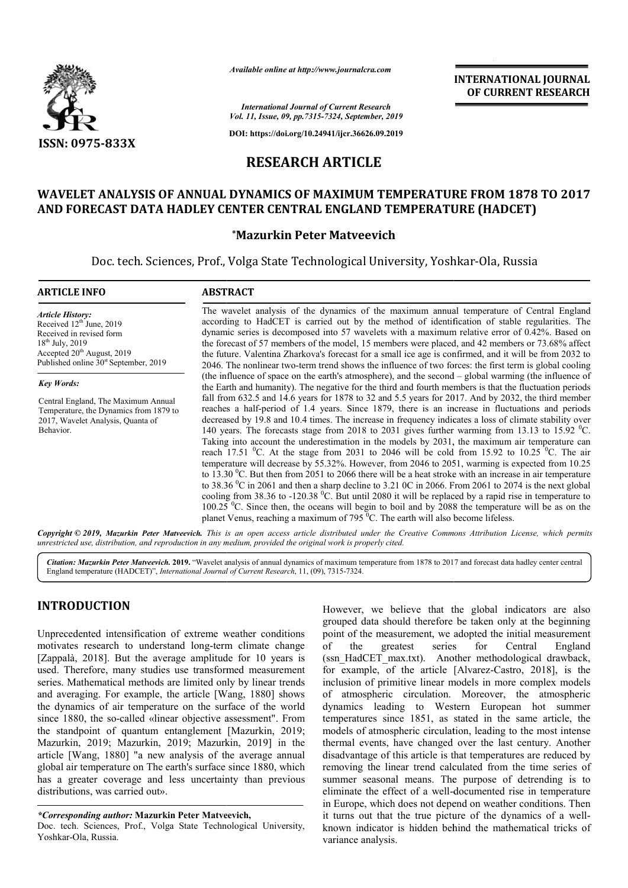

*Available online at http://www.journalcra.com*

**INTERNATIONAL JOURNAL OF CURRENT RESEARCH**

*International Journal of Current Research Vol. 11, Issue, 09, pp.7315-7324, September, 2019*

**DOI: https://doi.org/10.24941/ijcr.36626.09.2019**

# **RESEARCH ARTICLE**

## WAVELET ANALYSIS OF ANNUAL DYNAMICS OF MAXIMUM TEMPERATURE FROM 1878 TO 2017 **AND FORECAST DATA HADLEY CENTER CENTRAL ENGLAND TEMPERATURE (HADCET)**

## **\*Mazurkin Peter Matveevich**

Doc. tech. Sciences, Prof., Volga State Technological University, Yoshkar-Ola, Russia

### **ARTICLE INFO ABSTRACT**

*Article History:* Received  $12^{th}$  June, 2019 Received in revised form 18<sup>th</sup> July, 2019 Accepted 20<sup>th</sup> August, 2019 Published online  $30<sup>st</sup>$  September, 2019

*Key Words:*

Central England, The Maximum Annual Temperature, the Dynamics from 1879 to 2017, Wavelet Analysis, Quanta of Behavior.

The wavelet analysis of the dynamics of the maximum annual temperature of Central England according to HadCET is carried out by the method of identification of stable regularities. The dynamic series is decomposed into 57 wavelets with a maximum relative error of 0.42%. Based on the forecast of 57 m members of the model, 15 members were placed, and 42 members or 73.68% affect the future. Valentina Zharkova's forecast for a small ice age is confirmed, and it will be from 2032 to 2046. The nonlinear two-term trend shows the influence of two forces: the f (the influence of space on the earth's atmosphere), and the second  $-$  global warming (the influence of the Earth and humanity). The negative for the third and fourth members is that the fluctuation periods fall from 632.5 and 14.6 years for 1878 to 32 and 5.5 years for 2017. And by 2032, the third member reaches a half-period of 1.4 years. Since 1879, there is an increase in fluctuations and periods decreased by 19.8 and 10.4 times. The increase in frequency indicates a loss of climate stability over 140 years. The forecasts stage from 2018 to 2031 gives further warming from 13.13 to 15.92  $^0$ C. Taking into account the underestimation in the models by 2031, the maximum air temperature can Taking into account the underestimation in the models by 2031, the maximum air temperature can reach 17.51 <sup>0</sup>C. At the stage from 2031 to 2046 will be cold from 15.92 to 10.25 <sup>0</sup>C. The air temperature will decrease by 55.32%. However, from 2046 to 2051, warming is expected from 10.25 to 13.30  $^{\circ}$ C. But then from 2051 to 2066 there will be a heat stroke with an increase in air temperature to 38.36 <sup>0</sup>C in 2061 and then a sharp decline to 3.21 0C in 2066. From 2061 to 2074 is the next global cooling from 38.36 to -120.38 <sup>0</sup>C. But until 2080 it will be replaced by a rapid rise in temperature to 100.25 <sup>o</sup>C. Since then, the oceans will begin to boil and by 2088 the temperature will be as on the planet Venus, reaching a maximum of 795  $\mathrm{^{0}C}$ . The earth will also become lifeless. The wavelet analysis of the dynamics of the maximum annual temperature of Central England according to HadCET is carried out by the method of identification of stable regularities. The dynamic series is decomposed into 57 the Earth and humanity). The negative for the third and fourth members is that the fluctuation periods fall from 632.5 and 14.6 years for 1878 to 32 and 5.5 years for 2017. And by 2032, the third member reaches a half-peri temperature will decrease by 55.32%. However, from 2046 to 2051, warming is expected from 10.1 to 13.30 <sup>0</sup>C. But then from 2051 to 2066 there will be a heat stroke with an increase in air temperature to 38.36 <sup>0</sup>C in 206

Copyright © 2019, Mazurkin Peter Matveevich. This is an open access article distributed under the Creative Commons Attribution License, which permits *unrestricted use, distribution, and reproduction in any medium, provided the original work is properly cited.*

Citation: Mazurkin Peter Matveevich. 2019. "Wavelet analysis of annual dynamics of maximum temperature from 1878 to 2017 and forecast data hadley center central **Citation: Mazurkin Peter Matveevich. 2019.** "Wavelet analysis of annual dynamics of maximum te<br>England temperature (HADCET)", *International Journal of Current Research*, 11, (09), 7315-7324.

# **INTRODUCTION**

Unprecedented intensification of extreme weather conditions motivates research to understand long-term climate change [Zappalà, 2018]. But the average amplitude for 10 years is used. Therefore, many studies use transformed measurement series. Mathematical methods are limited only by linear trends and averaging. For example, the article [Wang the dynamics of air temperature on the surface of the world since 1880, the so-called «linear objective assessment". From since 1880, the so-called «linear objective assessment". From<br>the standpoint of quantum entanglement [Mazurkin, 2019; Mazurkin, 2019; Mazurkin, 2019; Mazurkin Mazurkin, 2019] in the article [Wang, 1880] "a new analysis of the average annual article [Wang, 1880] "a new analysis of the average annual global air temperature on The earth's surface since 1880, which has a greater coverage and less uncertainty than previous distributions, was carried out». arch to understand long-term climate change<br>J. But the average amplitude for 10 years is<br>e, many studies use transformed measurement<br>atical methods are limited only by linear trends<br>For example, the article [Wang, 1880] sh

### *\*Corresponding author:* **Mazurkin Peter Matveevich Matveevich,**

Doc. tech. Sciences, Prof., Volga State Technological University, Yoshkar-Ola, Russia.

However, we believe that the global indicators are also grouped data should therefore be taken only at the beginning point of the measurement, we adopted the initial measurement of the greatest series for Central England However, we believe that the global indicators are also grouped data should therefore be taken only at the beginning point of the measurement, we adopted the initial measurement of the greatest series for Central England ( for example, of the article [Alvarez-Castro, 2018], is the inclusion of primitive linear models in more complex models of atmospheric circulation. Moreover, the atmospheric dynamics leading to Western European hot summer temperatures since 1851, as stated in the same article, the models of atmospheric circulation, leading to the most intense thermal events, have changed over the last century. Another disadvantage of this article is that temperatures are reduced by removing the linear trend calculated from the time series of summer seasonal means. The purpose of detrending is to eliminate the effect of a well-documented rise in temperature in Europe, which does not depend on weather conditions. it turns out that the true picture of the dynamics of a wellknown indicator is hidden behind the mathematical tricks of variance analysis. of primitive linear models in more complex models spheric circulation. Moreover, the atmospheric leading to Western European hot summer ures since 1851, as stated in the same article, the f atmospheric circulation, leading **ERNATIONAL JOURNAL FOURNAL FOURNAL FOURNAL FOURNAL FOURNAL FOURNAL FOURNAL FOURNAL FOURNAL FOURNAL TO SEP (HADCET)**<br>
-Ola, Russia the error of 0.42%. Based on the error of 0.42% and the eqularities. The tive error of 0.4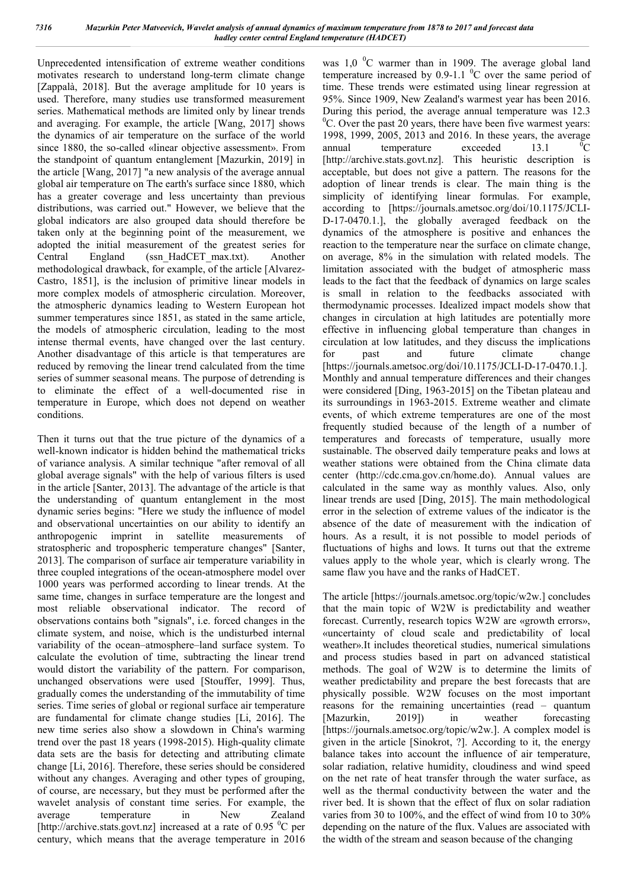Unprecedented intensification of extreme weather conditions motivates research to understand long-term climate change [Zappalà, 2018]. But the average amplitude for 10 years is used. Therefore, many studies use transformed measurement series. Mathematical methods are limited only by linear trends and averaging. For example, the article [Wang, 2017] shows the dynamics of air temperature on the surface of the world since 1880, the so-called «linear objective assessment». From the standpoint of quantum entanglement [Mazurkin, 2019] in the article [Wang, 2017] "a new analysis of the average annual global air temperature on The earth's surface since 1880, which has a greater coverage and less uncertainty than previous distributions, was carried out." However, we believe that the global indicators are also grouped data should therefore be taken only at the beginning point of the measurement, we adopted the initial measurement of the greatest series for Central England (ssn\_HadCET\_max.txt). Another methodological drawback, for example, of the article [Alvarez-Castro, 1851], is the inclusion of primitive linear models in more complex models of atmospheric circulation. Moreover, the atmospheric dynamics leading to Western European hot summer temperatures since 1851, as stated in the same article, the models of atmospheric circulation, leading to the most intense thermal events, have changed over the last century. Another disadvantage of this article is that temperatures are reduced by removing the linear trend calculated from the time series of summer seasonal means. The purpose of detrending is to eliminate the effect of a well-documented rise in temperature in Europe, which does not depend on weather conditions.

Then it turns out that the true picture of the dynamics of a well-known indicator is hidden behind the mathematical tricks of variance analysis. A similar technique "after removal of all global average signals" with the help of various filters is used in the article [Santer, 2013]. The advantage of the article is that the understanding of quantum entanglement in the most dynamic series begins: "Here we study the influence of model and observational uncertainties on our ability to identify an anthropogenic imprint in satellite measurements of stratospheric and tropospheric temperature changes" [Santer, 2013]. The comparison of surface air temperature variability in three coupled integrations of the ocean-atmosphere model over 1000 years was performed according to linear trends. At the same time, changes in surface temperature are the longest and most reliable observational indicator. The record of observations contains both "signals", i.e. forced changes in the climate system, and noise, which is the undisturbed internal variability of the ocean–atmosphere–land surface system. To calculate the evolution of time, subtracting the linear trend would distort the variability of the pattern. For comparison, unchanged observations were used [Stouffer, 1999]. Thus, gradually comes the understanding of the immutability of time series. Time series of global or regional surface air temperature are fundamental for climate change studies [Li, 2016]. The new time series also show a slowdown in China's warming trend over the past 18 years (1998-2015). High-quality climate data sets are the basis for detecting and attributing climate change [Li, 2016]. Therefore, these series should be considered without any changes. Averaging and other types of grouping, of course, are necessary, but they must be performed after the wavelet analysis of constant time series. For example, the average temperature in New Zealand [http://archive.stats.govt.nz] increased at a rate of 0.95  $\mathrm{^0C}$  per century, which means that the average temperature in 2016

was  $1,0$  <sup>0</sup>C warmer than in 1909. The average global land temperature increased by 0.9-1.1  $\rm{^0C}$  over the same period of time. These trends were estimated using linear regression at 95%. Since 1909, New Zealand's warmest year has been 2016. During this period, the average annual temperature was 12.3 <sup>0</sup>C. Over the past 20 years, there have been five warmest years: 1998, 1999, 2005, 2013 and 2016. In these years, the average annual temperature exceeded 13.1  $\bar{C}$ [http://archive.stats.govt.nz]. This heuristic description is acceptable, but does not give a pattern. The reasons for the adoption of linear trends is clear. The main thing is the simplicity of identifying linear formulas. For example, according to [https://journals.ametsoc.org/doi/10.1175/JCLI-D-17-0470.1.], the globally averaged feedback on the dynamics of the atmosphere is positive and enhances the reaction to the temperature near the surface on climate change, on average, 8% in the simulation with related models. The limitation associated with the budget of atmospheric mass leads to the fact that the feedback of dynamics on large scales is small in relation to the feedbacks associated with thermodynamic processes. Idealized impact models show that changes in circulation at high latitudes are potentially more effective in influencing global temperature than changes in circulation at low latitudes, and they discuss the implications for past and future climate change [https://journals.ametsoc.org/doi/10.1175/JCLI-D-17-0470.1.]. Monthly and annual temperature differences and their changes were considered [Ding, 1963-2015] on the Tibetan plateau and its surroundings in 1963-2015. Extreme weather and climate events, of which extreme temperatures are one of the most frequently studied because of the length of a number of temperatures and forecasts of temperature, usually more sustainable. The observed daily temperature peaks and lows at weather stations were obtained from the China climate data center (http://cdc.cma.gov.cn/home.do). Annual values are calculated in the same way as monthly values. Also, only linear trends are used [Ding, 2015]. The main methodological error in the selection of extreme values of the indicator is the absence of the date of measurement with the indication of hours. As a result, it is not possible to model periods of fluctuations of highs and lows. It turns out that the extreme values apply to the whole year, which is clearly wrong. The same flaw you have and the ranks of HadCET.

The article [https://journals.ametsoc.org/topic/w2w.] concludes that the main topic of W2W is predictability and weather forecast. Currently, research topics W2W are «growth errors», «uncertainty of cloud scale and predictability of local weather».It includes theoretical studies, numerical simulations and process studies based in part on advanced statistical methods. The goal of W2W is to determine the limits of weather predictability and prepare the best forecasts that are physically possible. W2W focuses on the most important reasons for the remaining uncertainties (read – quantum [Mazurkin, 2019]) in weather forecasting [https://journals.ametsoc.org/topic/w2w.]. A complex model is given in the article [Sinokrot, ?]. According to it, the energy balance takes into account the influence of air temperature, solar radiation, relative humidity, cloudiness and wind speed on the net rate of heat transfer through the water surface, as well as the thermal conductivity between the water and the river bed. It is shown that the effect of flux on solar radiation varies from 30 to 100%, and the effect of wind from 10 to 30% depending on the nature of the flux. Values are associated with the width of the stream and season because of the changing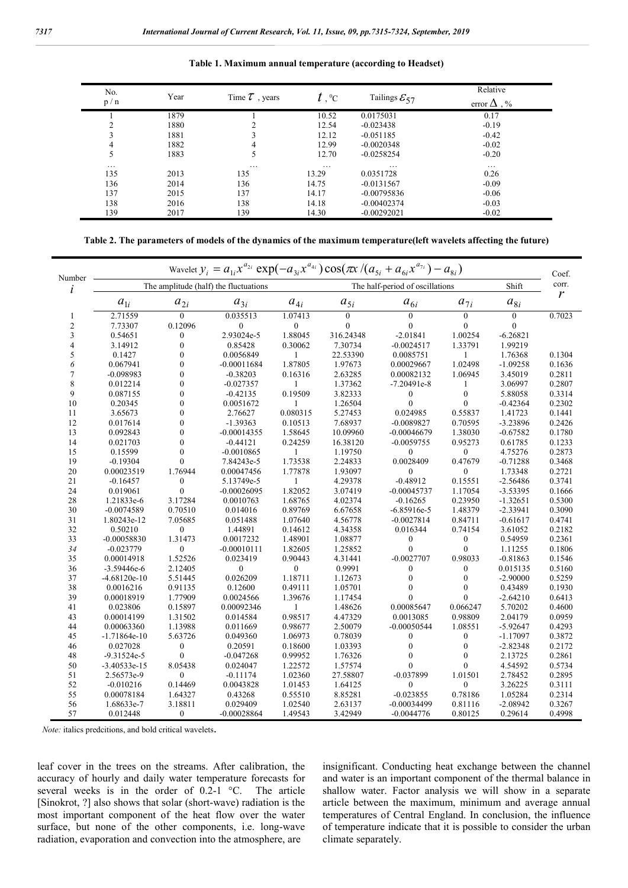| No.<br>p/n | Year | Time $\tau$ , years | $t$ , $\mathrm{^{\mathrm{o}}C}$ | Tailings $\mathcal{E}_{57}$ | Relative<br>error $\Delta$ , % |
|------------|------|---------------------|---------------------------------|-----------------------------|--------------------------------|
|            |      |                     |                                 |                             |                                |
|            | 1879 |                     | 10.52                           | 0.0175031                   | 0.17                           |
|            | 1880 |                     | 12.54                           | $-0.023438$                 | $-0.19$                        |
| 3          | 1881 |                     | 12.12                           | $-0.051185$                 | $-0.42$                        |
| 4          | 1882 | 4                   | 12.99                           | $-0.0020348$                | $-0.02$                        |
| 5          | 1883 |                     | 12.70                           | $-0.0258254$                | $-0.20$                        |
| $\cdots$   |      | .                   | .                               | .                           | $\cdots$                       |
| 135        | 2013 | 135                 | 13.29                           | 0.0351728                   | 0.26                           |
| 136        | 2014 | 136                 | 14.75                           | $-0.0131567$                | $-0.09$                        |
| 137        | 2015 | 137                 | 14.17                           | $-0.00795836$               | $-0.06$                        |
| 138        | 2016 | 138                 | 14.18                           | $-0.00402374$               | $-0.03$                        |
| 139        | 2017 | 139                 | 14.30                           | $-0.00292021$               | $-0.02$                        |

**Table 1. Maximum annual temperature (according to Headset)**

**Table 2. The parameters of models of the dynamics of the maximum temperature(left wavelets affecting the future)**

| Number                   | Wavelet $y_i = a_{1i} x^{a_{2i}} \exp(-a_{3i} x^{a_{4i}}) \cos(\pi x / (a_{5i} + a_{6i} x^{a_{7i}}) - a_{8i})$ |                       |                                       |                       |                                 |                  |                  |                |        |  |
|--------------------------|----------------------------------------------------------------------------------------------------------------|-----------------------|---------------------------------------|-----------------------|---------------------------------|------------------|------------------|----------------|--------|--|
| i                        |                                                                                                                |                       | The amplitude (half) the fluctuations |                       | The half-period of oscillations |                  |                  | Shift          | corr.  |  |
|                          | $a_{1i}$                                                                                                       | $\boldsymbol{a}_{2i}$ | $a_{3i}$                              | $\boldsymbol{a}_{4i}$ | $a_{5i}$                        | $a_{6i}$         | $a_{7i}$         | $a_{8i}$       | r      |  |
| 1                        | 2.71559                                                                                                        | $\overline{0}$        | 0.035513                              | 1.07413               | $\mathbf{0}$                    | $\theta$         | $\mathbf{0}$     | $\mathbf{0}$   | 0.7023 |  |
| $\overline{c}$           | 7.73307                                                                                                        | 0.12096               | $\theta$                              | $\mathbf{0}$          | $\theta$                        | $\theta$         | $\theta$         | $\overline{0}$ |        |  |
| 3                        | 0.54651                                                                                                        | $\mathbf{0}$          | 2.93024e-5                            | 1.88045               | 316.24348                       | $-2.01841$       | 1.00254          | $-6.26821$     |        |  |
| 4                        | 3.14912                                                                                                        | $\mathbf{0}$          | 0.85428                               | 0.30062               | 7.30734                         | $-0.0024517$     | 1.33791          | 1.99219        |        |  |
| 5                        | 0.1427                                                                                                         | $\theta$              | 0.0056849                             | 1                     | 22.53390                        | 0.0085751        | 1                | 1.76368        | 0.1304 |  |
| 6                        | 0.067941                                                                                                       | $\mathbf{0}$          | $-0.00011684$                         | 1.87805               | 1.97673                         | 0.00029667       | 1.02498          | $-1.09258$     | 0.1636 |  |
| $\overline{\mathcal{I}}$ | $-0.098983$                                                                                                    | $\theta$              | $-0.38203$                            | 0.16316               | 2.63285                         | 0.00082132       | 1.06945          | 3.45019        | 0.2811 |  |
| 8                        | 0.012214                                                                                                       | $\theta$              | $-0.027357$                           |                       | 1.37362                         | $-7.20491e-8$    | 1                | 3.06997        | 0.2807 |  |
| 9                        | 0.087155                                                                                                       | $\overline{0}$        | $-0.42135$                            | 0.19509               | 3.82333                         | $\mathbf{0}$     | $\mathbf{0}$     | 5.88058        | 0.3314 |  |
| 10                       | 0.20345                                                                                                        | $\theta$              | 0.0051672                             |                       | 1.26504                         | $\theta$         | $\mathbf{0}$     | $-0.42364$     | 0.2302 |  |
| 11                       | 3.65673                                                                                                        | $\mathbf{0}$          | 2.76627                               | 0.080315              | 5.27453                         | 0.024985         | 0.55837          | 1.41723        | 0.1441 |  |
| 12                       | 0.017614                                                                                                       | $\mathbf{0}$          | $-1.39363$                            | 0.10513               | 7.68937                         | $-0.0089827$     | 0.70595          | -3.23896       | 0.2426 |  |
| 13                       | 0.092843                                                                                                       | $\theta$              | $-0.00014355$                         | 1.58645               | 10.09960                        | $-0.00046679$    | 1.38030          | $-0.67582$     | 0.1780 |  |
| 14                       | 0.021703                                                                                                       | $\theta$              | $-0.44121$                            | 0.24259               | 16.38120                        | $-0.0059755$     | 0.95273          | 0.61785        | 0.1233 |  |
| 15                       | 0.15599                                                                                                        | $\theta$              | $-0.0010865$                          | 1                     | 1.19750                         | $\mathbf{0}$     | $\mathbf{0}$     | 4.75276        | 0.2873 |  |
| 19                       | $-0.19304$                                                                                                     | $\mathbf{0}$          | 7.84243e-5                            | 1.73538               | 2.24833                         | 0.0028409        | 0.47679          | $-0.71288$     | 0.3468 |  |
| 20                       | 0.00023519                                                                                                     | 1.76944               | 0.00047456                            | 1.77878               | 1.93097                         | $\mathbf{0}$     | $\boldsymbol{0}$ | 1.73348        | 0.2721 |  |
| 21                       | $-0.16457$                                                                                                     | $\boldsymbol{0}$      | 5.13749e-5                            | 1                     | 4.29378                         | $-0.48912$       | 0.15551          | $-2.56486$     | 0.3741 |  |
| 24                       | 0.019061                                                                                                       | $\boldsymbol{0}$      | $-0.00026095$                         | 1.82052               | 3.07419                         | $-0.00045737$    | 1.17054          | $-3.53395$     | 0.1666 |  |
| 28                       | 1.21833e-6                                                                                                     | 3.17284               | 0.0010763                             | 1.68765               | 4.02374                         | $-0.16265$       | 0.23950          | $-1.32651$     | 0.5300 |  |
| 30                       | $-0.0074589$                                                                                                   | 0.70510               | 0.014016                              | 0.89769               | 6.67658                         | $-6.85916e-5$    | 1.48379          | $-2.33941$     | 0.3090 |  |
| 31                       | 1.80243e-12                                                                                                    | 7.05685               | 0.051488                              | 1.07640               | 4.56778                         | $-0.0027814$     | 0.84711          | $-0.61617$     | 0.4741 |  |
| 32                       | 0.50210                                                                                                        | $\mathbf{0}$          | 1.44891                               | 0.14612               | 4.34358                         | 0.016344         | 0.74154          | 3.61052        | 0.2182 |  |
| 33                       | $-0.00058830$                                                                                                  | 1.31473               | 0.0017232                             | 1.48901               | 1.08877                         | $\boldsymbol{0}$ | $\boldsymbol{0}$ | 0.54959        | 0.2361 |  |
| 34                       |                                                                                                                | $\boldsymbol{0}$      | $-0.00010111$                         | 1.82605               | 1.25852                         | $\theta$         | $\theta$         | 1.11255        | 0.1806 |  |
| 35                       | $-0.023779$<br>0.00014918                                                                                      | 1.52526               | 0.023419                              | 0.90443               | 4.31441                         | $-0.0027707$     | 0.98033          | $-0.81863$     | 0.1546 |  |
|                          |                                                                                                                |                       |                                       |                       |                                 |                  |                  |                |        |  |
| 36                       | $-3.59446e-6$                                                                                                  | 2.12405               | $\boldsymbol{0}$                      | $\boldsymbol{0}$      | 0.9991                          | $\boldsymbol{0}$ | $\boldsymbol{0}$ | 0.015135       | 0.5160 |  |
| 37                       | $-4.68120e-10$                                                                                                 | 5.51445               | 0.026209                              | 1.18711               | 1.12673                         | $\theta$         | $\theta$         | $-2.90000$     | 0.5259 |  |
| 38                       | 0.0016216                                                                                                      | 0.91135               | 0.12600                               | 0.49111               | 1.05701                         | 0                | $\theta$         | 0.43489        | 0.1930 |  |
| 39                       | 0.00018919                                                                                                     | 1.77909               | 0.0024566                             | 1.39676               | 1.17454                         | 0                | $\theta$         | $-2.64210$     | 0.6413 |  |
| 41                       | 0.023806                                                                                                       | 0.15897               | 0.00092346                            | 1                     | 1.48626                         | 0.00085647       | 0.066247         | 5.70202        | 0.4600 |  |
| 43                       | 0.00014199                                                                                                     | 1.31502               | 0.014584                              | 0.98517               | 4.47329                         | 0.0013085        | 0.98809          | 2.04179        | 0.0959 |  |
| 44                       | 0.00063360                                                                                                     | 1.13988               | 0.011669                              | 0.98677               | 2.50079                         | $-0.00050544$    | 1.08551          | $-5.92647$     | 0.4293 |  |
| 45                       | -1.71864e-10                                                                                                   | 5.63726               | 0.049360                              | 1.06973               | 0.78039                         | $\boldsymbol{0}$ | $\boldsymbol{0}$ | $-1.17097$     | 0.3872 |  |
| 46                       | 0.027028                                                                                                       | $\mathbf{0}$          | 0.20591                               | 0.18600               | 1.03393                         | $\mathbf{0}$     | $\mathbf{0}$     | $-2.82348$     | 0.2172 |  |
| 48                       | $-9.31524e-5$                                                                                                  | $\mathbf{0}$          | $-0.047268$                           | 0.99952               | 1.76326                         | 0                | $\theta$         | 2.13725        | 0.2861 |  |
| 50                       | $-3.40533e-15$                                                                                                 | 8.05438               | 0.024047                              | 1.22572               | 1.57574                         | 0                | $\theta$         | 4.54592        | 0.5734 |  |
| 51                       | 2.56573e-9                                                                                                     | $\boldsymbol{0}$      | $-0.11174$                            | 1.02360               | 27.58807                        | $-0.037899$      | 1.01501          | 2.78452        | 0.2895 |  |
| 52                       | $-0.010216$                                                                                                    | 0.14469               | 0.0043828                             | 1.01453               | 1.64125                         | $\mathbf{0}$     | $\boldsymbol{0}$ | 3.26225        | 0.3111 |  |
| 55                       | 0.00078184                                                                                                     | 1.64327               | 0.43268                               | 0.55510               | 8.85281                         | $-0.023855$      | 0.78186          | 1.05284        | 0.2314 |  |
| 56                       | 1.68633e-7                                                                                                     | 3.18811               | 0.029409                              | 1.02540               | 2.63137                         | $-0.00034499$    | 0.81116          | $-2.08942$     | 0.3267 |  |
| 57                       | 0.012448                                                                                                       | $\boldsymbol{0}$      | $-0.00028864$                         | 1.49543               | 3.42949                         | $-0.0044776$     | 0.80125          | 0.29614        | 0.4998 |  |

*Note:* italics predcitions, and bold critical wavelets.

leaf cover in the trees on the streams. After calibration, the accuracy of hourly and daily water temperature forecasts for several weeks is in the order of 0.2-1 °C. The article [Sinokrot, ?] also shows that solar (short-wave) radiation is the most important component of the heat flow over the water surface, but none of the other components, i.e. long-wave radiation, evaporation and convection into the atmosphere, are

insignificant. Conducting heat exchange between the channel and water is an important component of the thermal balance in shallow water. Factor analysis we will show in a separate article between the maximum, minimum and average annual temperatures of Central England. In conclusion, the influence of temperature indicate that it is possible to consider the urban climate separately.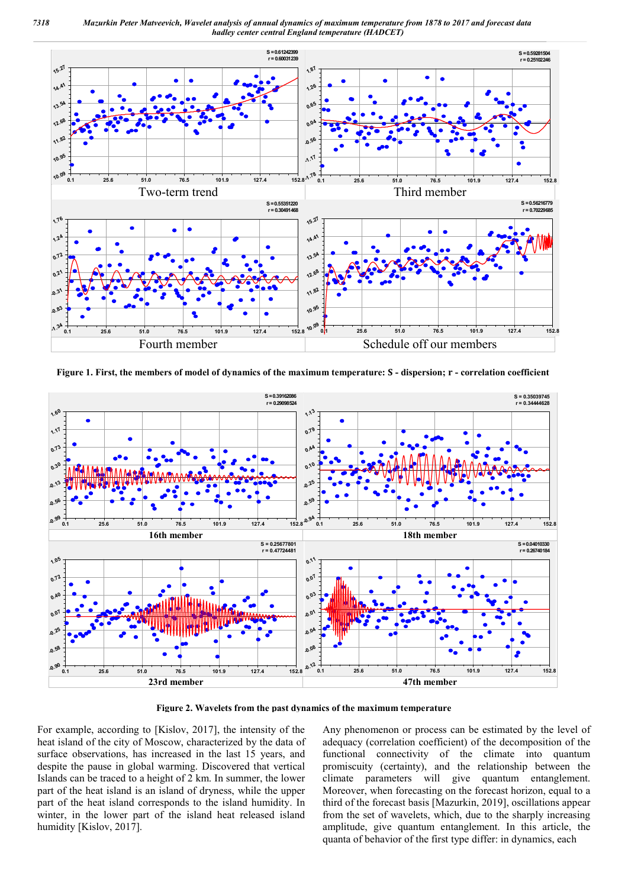

**Figure 1. First, the members of model of dynamics of the maximum temperature: - dispersion; - correlation coefficient**



**Figure 2. Wavelets from the past dynamics of the maximum temperature**

For example, according to [Kislov, 2017], the intensity of the heat island of the city of Moscow, characterized by the data of surface observations, has increased in the last 15 years, and despite the pause in global warming. Discovered that vertical Islands can be traced to a height of 2 km. In summer, the lower part of the heat island is an island of dryness, while the upper part of the heat island corresponds to the island humidity. In winter, in the lower part of the island heat released island humidity [Kislov, 2017].

Any phenomenon or process can be estimated by the level of adequacy (correlation coefficient) of the decomposition of the functional connectivity of the climate into quantum promiscuity (certainty), and the relationship between the climate parameters will give quantum entanglement. Moreover, when forecasting on the forecast horizon, equal to a third of the forecast basis [Mazurkin, 2019], oscillations appear from the set of wavelets, which, due to the sharply increasing amplitude, give quantum entanglement. In this article, the quanta of behavior of the first type differ: in dynamics, each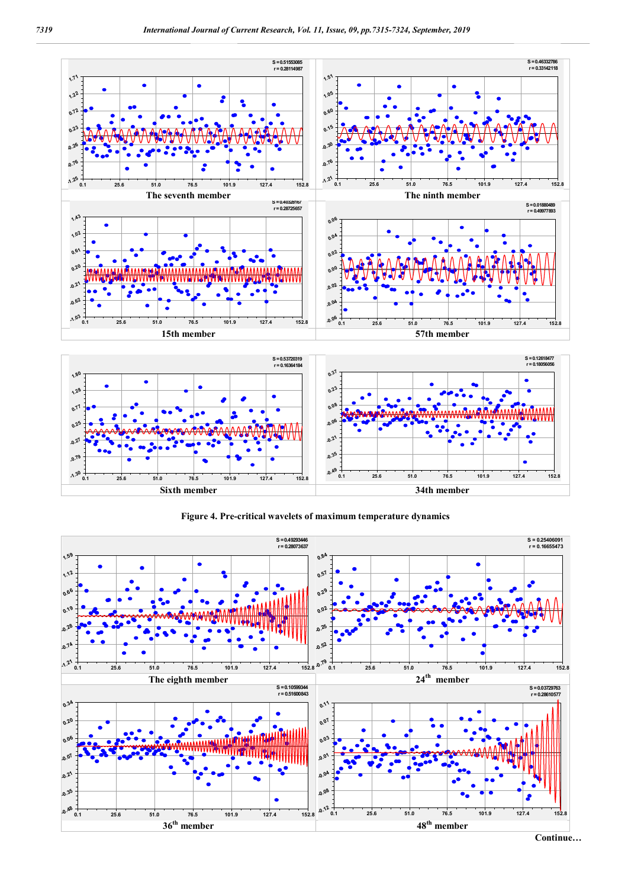



**Figure 4. Pre-critical wavelets of maximum temperature dynamics**

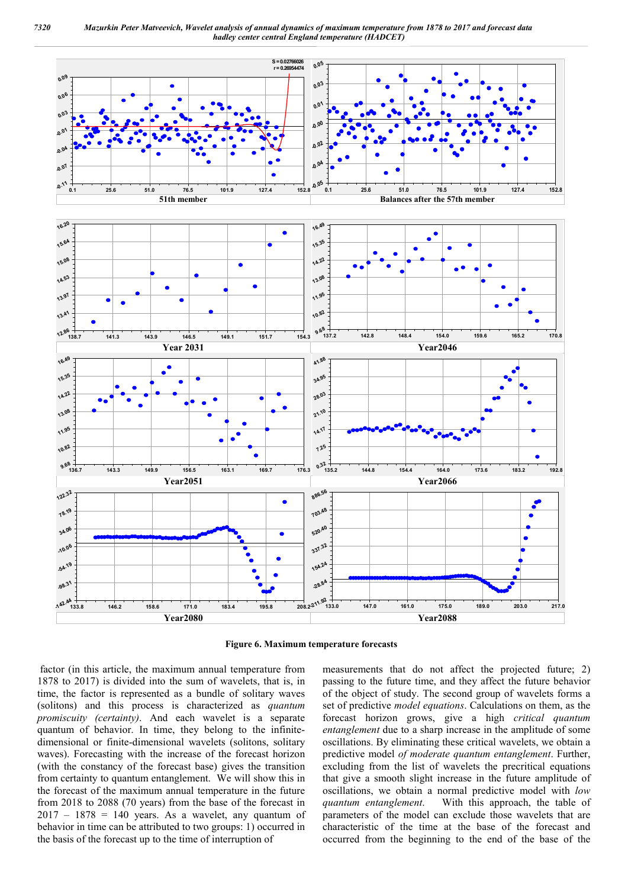

**Figure 6. Maximum temperature forecasts**

factor (in this article, the maximum annual temperature from 1878 to 2017) is divided into the sum of wavelets, that is, in time, the factor is represented as a bundle of solitary waves (solitons) and this process is characterized as *quantum promiscuity (certainty)*. And each wavelet is a separate quantum of behavior. In time, they belong to the infinitedimensional or finite-dimensional wavelets (solitons, solitary waves). Forecasting with the increase of the forecast horizon (with the constancy of the forecast base) gives the transition from certainty to quantum entanglement. We will show this in the forecast of the maximum annual temperature in the future from 2018 to 2088 (70 years) from the base of the forecast in  $2017 - 1878 = 140$  years. As a wavelet, any quantum of behavior in time can be attributed to two groups: 1) occurred in the basis of the forecast up to the time of interruption of

measurements that do not affect the projected future; 2) passing to the future time, and they affect the future behavior of the object of study. The second group of wavelets forms a set of predictive *model equations*. Calculations on them, as the forecast horizon grows, give a high *critical quantum entanglement* due to a sharp increase in the amplitude of some oscillations. By eliminating these critical wavelets, we obtain a predictive model *of moderate quantum entanglement*. Further, excluding from the list of wavelets the precritical equations that give a smooth slight increase in the future amplitude of oscillations, we obtain a normal predictive model with *low quantum entanglement*. With this approach, the table of parameters of the model can exclude those wavelets that are characteristic of the time at the base of the forecast and occurred from the beginning to the end of the base of the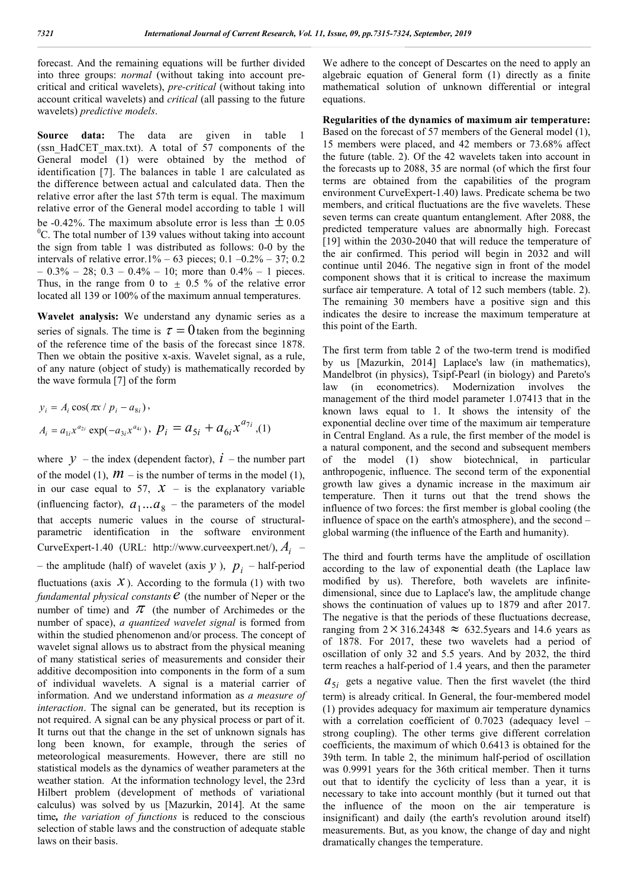forecast. And the remaining equations will be further divided into three groups: *normal* (without taking into account precritical and critical wavelets), *pre-critical* (without taking into account critical wavelets) and *critical* (all passing to the future wavelets) *predictive models*.

**Source data:** The data are given in table 1 (ssn\_HadCET\_max.txt). A total of 57 components of the General model (1) were obtained by the method of identification [7]. The balances in table 1 are calculated as the difference between actual and calculated data. Then the relative error after the last 57th term is equal. The maximum relative error of the General model according to table 1 will be -0.42%. The maximum absolute error is less than  $\pm$  0.05  ${}^{0}C$ . The total number of 139 values without taking into account the sign from table 1 was distributed as follows: 0-0 by the intervals of relative error.1% – 63 pieces; 0.1 –0.2% – 37; 0.2  $-0.3\% - 28$ ;  $0.3 - 0.4\% - 10$ ; more than  $0.4\% - 1$  pieces. Thus, in the range from 0 to  $\pm$  0.5 % of the relative error located all 139 or 100% of the maximum annual temperatures.

**Wavelet analysis:** We understand any dynamic series as a series of signals. The time is  $\tau = 0$  taken from the beginning of the reference time of the basis of the forecast since 1878. Then we obtain the positive x-axis. Wavelet signal, as a rule, of any nature (object of study) is mathematically recorded by the wave formula [7] of the form

$$
y_i = A_i \cos(\pi x / p_i - a_{8i}),
$$
  
\n
$$
A_i = a_{1i} x^{a_{2i}} \exp(-a_{3i} x^{a_{4i}}), \ p_i = a_{5i} + a_{6i} x^{a_{7i}},
$$
 (1)

where  $y$  – the index (dependent factor),  $\dot{l}$  – the number part of the model (1),  $\mathcal{M}$  – is the number of terms in the model (1), in our case equal to 57,  $X$  – is the explanatory variable (influencing factor),  $a_1...a_8$  – the parameters of the model that accepts numeric values in the course of structuralparametric identification in the software environment CurveExpert-1.40 (URL: http://www.curveexpert.net/), *Ai* – – the amplitude (half) of wavelet (axis  $y$ ),  $p_i$  – half-period fluctuations (axis  $X$ ). According to the formula (1) with two *fundamental physical constants*  $e$  (the number of Neper or the number of time) and  $\pi$  (the number of Archimedes or the number of space), *a quantized wavelet signal* is formed from within the studied phenomenon and/or process. The concept of wavelet signal allows us to abstract from the physical meaning of many statistical series of measurements and consider their additive decomposition into components in the form of a sum of individual wavelets. A signal is a material carrier of information. And we understand information as *a measure of interaction*. The signal can be generated, but its reception is not required. A signal can be any physical process or part of it. It turns out that the change in the set of unknown signals has long been known, for example, through the series of meteorological measurements. However, there are still no statistical models as the dynamics of weather parameters at the weather station. At the information technology level, the 23rd Hilbert problem (development of methods of variational calculus) was solved by us [Mazurkin, 2014]. At the same time*, the variation of functions* is reduced to the conscious selection of stable laws and the construction of adequate stable laws on their basis.

We adhere to the concept of Descartes on the need to apply an algebraic equation of General form (1) directly as a finite mathematical solution of unknown differential or integral equations.

**Regularities of the dynamics of maximum air temperature:**  Based on the forecast of 57 members of the General model (1), 15 members were placed, and 42 members or 73.68% affect the future (table. 2). Of the 42 wavelets taken into account in the forecasts up to 2088, 35 are normal (of which the first four terms are obtained from the capabilities of the program environment CurveExpert-1.40) laws. Predicate schema be two members, and critical fluctuations are the five wavelets. These seven terms can create quantum entanglement. After 2088, the predicted temperature values are abnormally high. Forecast [19] within the 2030-2040 that will reduce the temperature of the air confirmed. This period will begin in 2032 and will continue until 2046. The negative sign in front of the model component shows that it is critical to increase the maximum surface air temperature. A total of 12 such members (table. 2). The remaining 30 members have a positive sign and this indicates the desire to increase the maximum temperature at this point of the Earth.

The first term from table 2 of the two-term trend is modified by us [Mazurkin, 2014] Laplace's law (in mathematics), Mandelbrot (in physics), Tsipf-Pearl (in biology) and Pareto's law (in econometrics). Modernization involves the management of the third model parameter 1.07413 that in the known laws equal to 1. It shows the intensity of the exponential decline over time of the maximum air temperature in Central England. As a rule, the first member of the model is a natural component, and the second and subsequent members of the model (1) show biotechnical, in particular anthropogenic, influence. The second term of the exponential growth law gives a dynamic increase in the maximum air temperature. Then it turns out that the trend shows the influence of two forces: the first member is global cooling (the influence of space on the earth's atmosphere), and the second – global warming (the influence of the Earth and humanity).

The third and fourth terms have the amplitude of oscillation according to the law of exponential death (the Laplace law modified by us). Therefore, both wavelets are infinitedimensional, since due to Laplace's law, the amplitude change shows the continuation of values up to 1879 and after 2017. The negative is that the periods of these fluctuations decrease, ranging from  $2 \times 316.24348 \approx 632.5$ years and 14.6 years as of 1878. For 2017, these two wavelets had a period of oscillation of only 32 and 5.5 years. And by 2032, the third term reaches a half-period of 1.4 years, and then the parameter  $a_{5i}$  gets a negative value. Then the first wavelet (the third term) is already critical. In General, the four-membered model (1) provides adequacy for maximum air temperature dynamics with a correlation coefficient of 0.7023 (adequacy level – strong coupling). The other terms give different correlation coefficients, the maximum of which 0.6413 is obtained for the 39th term. In table 2, the minimum half-period of oscillation was 0.9991 years for the 36th critical member. Then it turns out that to identify the cyclicity of less than a year, it is necessary to take into account monthly (but it turned out that the influence of the moon on the air temperature is insignificant) and daily (the earth's revolution around itself) measurements. But, as you know, the change of day and night dramatically changes the temperature.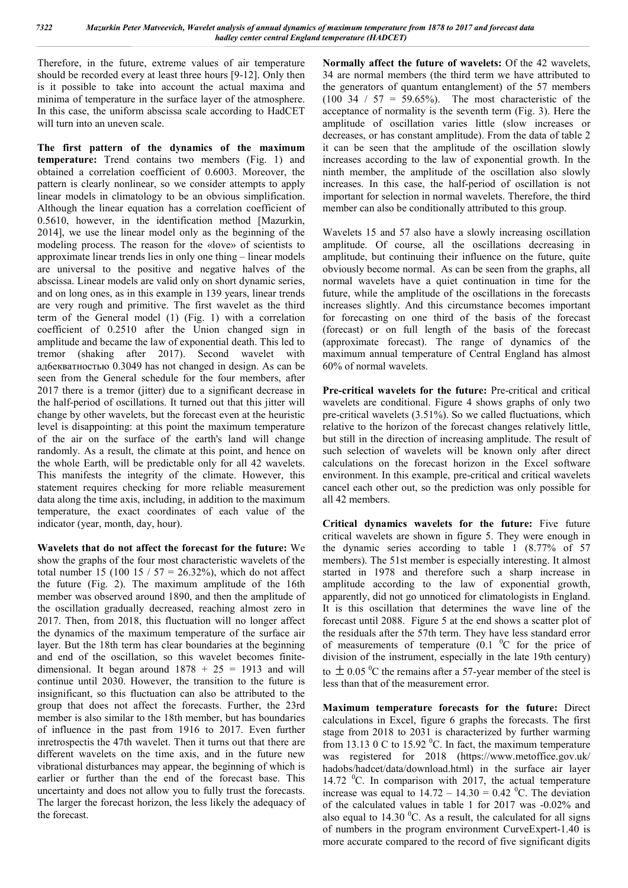Therefore, in the future, extreme values of air temperature should be recorded every at least three hours [9-12]. Only then is it possible to take into account the actual maxima and minima of temperature in the surface layer of the atmosphere. In this case, the uniform abscissa scale according to HadCET will turn into an uneven scale.

**The first pattern of the dynamics of the maximum temperature:** Trend contains two members (Fig. 1) and obtained a correlation coefficient of 0.6003. Moreover, the pattern is clearly nonlinear, so we consider attempts to apply linear models in climatology to be an obvious simplification. Although the linear equation has a correlation coefficient of 0.5610, however, in the identification method [Mazurkin, 2014], we use the linear model only as the beginning of the modeling process. The reason for the «love» of scientists to approximate linear trends lies in only one thing – linear models are universal to the positive and negative halves of the abscissa. Linear models are valid only on short dynamic series, and on long ones, as in this example in 139 years, linear trends are very rough and primitive. The first wavelet as the third term of the General model (1) (Fig. 1) with a correlation coefficient of 0.2510 after the Union changed sign in amplitude and became the law of exponential death. This led to tremor (shaking after 2017). Second wavelet with ад6екватностью 0.3049 has not changed in design. As can be seen from the General schedule for the four members, after 2017 there is a tremor (jitter) due to a significant decrease in the half-period of oscillations. It turned out that this jitter will change by other wavelets, but the forecast even at the heuristic level is disappointing: at this point the maximum temperature of the air on the surface of the earth's land will change randomly. As a result, the climate at this point, and hence on the whole Earth, will be predictable only for all 42 wavelets. This manifests the integrity of the climate. However, this statement requires checking for more reliable measurement data along the time axis, including, in addition to the maximum temperature, the exact coordinates of each value of the indicator (year, month, day, hour).

**Wavelets that do not affect the forecast for the future:** We show the graphs of the four most characteristic wavelets of the total number 15 (100 15 /  $57 = 26.32\%$ ), which do not affect the future (Fig. 2). The maximum amplitude of the 16th member was observed around 1890, and then the amplitude of the oscillation gradually decreased, reaching almost zero in 2017. Then, from 2018, this fluctuation will no longer affect the dynamics of the maximum temperature of the surface air layer. But the 18th term has clear boundaries at the beginning and end of the oscillation, so this wavelet becomes finitedimensional. It began around  $1878 + 25 = 1913$  and will continue until 2030. However, the transition to the future is insignificant, so this fluctuation can also be attributed to the group that does not affect the forecasts. Further, the 23rd member is also similar to the 18th member, but has boundaries of influence in the past from 1916 to 2017. Even further inretrospectis the 47th wavelet. Then it turns out that there are different wavelets on the time axis, and in the future new vibrational disturbances may appear, the beginning of which is earlier or further than the end of the forecast base. This uncertainty and does not allow you to fully trust the forecasts. The larger the forecast horizon, the less likely the adequacy of the forecast.

**Normally affect the future of wavelets:** Of the 42 wavelets, 34 are normal members (the third term we have attributed to the generators of quantum entanglement) of the 57 members  $(100 \t34 / 57 = 59.65\%)$ . The most characteristic of the acceptance of normality is the seventh term (Fig. 3). Here the amplitude of oscillation varies little (slow increases or decreases, or has constant amplitude). From the data of table 2 it can be seen that the amplitude of the oscillation slowly increases according to the law of exponential growth. In the ninth member, the amplitude of the oscillation also slowly increases. In this case, the half-period of oscillation is not important for selection in normal wavelets. Therefore, the third member can also be conditionally attributed to this group.

Wavelets 15 and 57 also have a slowly increasing oscillation amplitude. Of course, all the oscillations decreasing in amplitude, but continuing their influence on the future, quite obviously become normal. As can be seen from the graphs, all normal wavelets have a quiet continuation in time for the future, while the amplitude of the oscillations in the forecasts increases slightly. And this circumstance becomes important for forecasting on one third of the basis of the forecast (forecast) or on full length of the basis of the forecast (approximate forecast). The range of dynamics of the maximum annual temperature of Central England has almost 60% of normal wavelets.

**Pre-critical wavelets for the future:** Pre-critical and critical wavelets are conditional. Figure 4 shows graphs of only two pre-critical wavelets (3.51%). So we called fluctuations, which relative to the horizon of the forecast changes relatively little, but still in the direction of increasing amplitude. The result of such selection of wavelets will be known only after direct calculations on the forecast horizon in the Excel software environment. In this example, pre-critical and critical wavelets cancel each other out, so the prediction was only possible for all 42 members.

**Critical dynamics wavelets for the future:** Five future critical wavelets are shown in figure 5. They were enough in the dynamic series according to table 1 (8.77% of 57 members). The 51st member is especially interesting. It almost started in 1978 and therefore such a sharp increase in amplitude according to the law of exponential growth, apparently, did not go unnoticed for climatologists in England. It is this oscillation that determines the wave line of the forecast until 2088. Figure 5 at the end shows a scatter plot of the residuals after the 57th term. They have less standard error of measurements of temperature  $(0.1 \, {}^{0}C$  for the price of division of the instrument, especially in the late 19th century) to  $\pm$  0.05 °C the remains after a 57-year member of the steel is less than that of the measurement error.

**Maximum temperature forecasts for the future:** Direct calculations in Excel, figure 6 graphs the forecasts. The first stage from 2018 to 2031 is characterized by further warming from 13.13 0 C to 15.92  $^0$ C. In fact, the maximum temperature was registered for 2018 (https://www.metoffice.gov.uk/ hadobs/hadcet/data/download.html) in the surface air layer 14.72  $\mathrm{^0C}$ . In comparison with 2017, the actual temperature increase was equal to  $14.72 - 14.30 = 0.42$  °C. The deviation of the calculated values in table 1 for 2017 was -0.02% and also equal to  $14.30<sup>0</sup>C$ . As a result, the calculated for all signs of numbers in the program environment CurveExpert-1.40 is more accurate compared to the record of five significant digits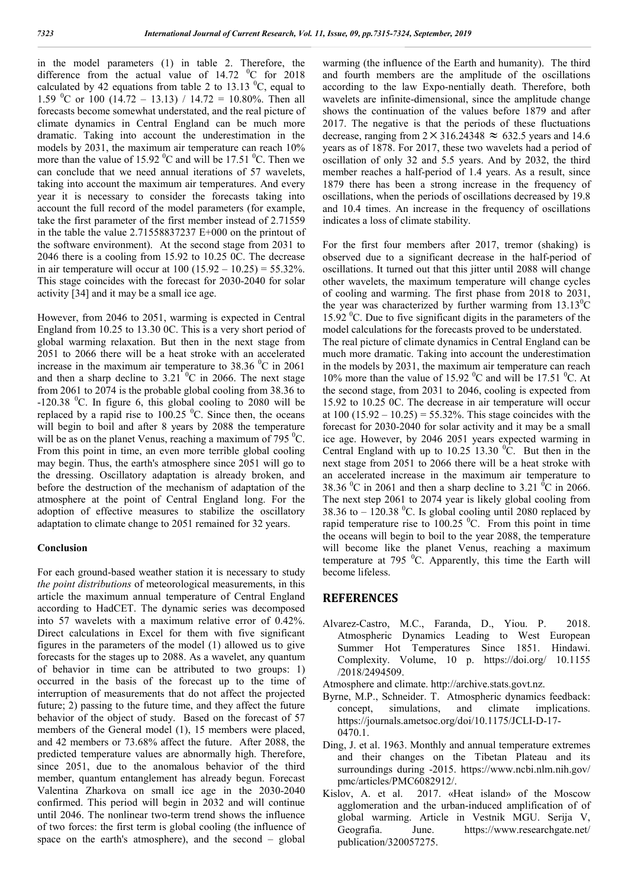in the model parameters (1) in table 2. Therefore, the difference from the actual value of  $14.72 \text{ }^{\circ}$ C for 2018 calculated by 42 equations from table 2 to 13.13  $^0C$ , equal to 1.59 <sup>o</sup>C or 100 (14.72 – 13.13) / 14.72 = 10.80%. Then all forecasts become somewhat understated, and the real picture of climate dynamics in Central England can be much more dramatic. Taking into account the underestimation in the models by 2031, the maximum air temperature can reach 10% more than the value of 15.92  $\mathrm{^0C}$  and will be 17.51  $\mathrm{^0C}$ . Then we can conclude that we need annual iterations of 57 wavelets, taking into account the maximum air temperatures. And every year it is necessary to consider the forecasts taking into account the full record of the model parameters (for example, take the first parameter of the first member instead of 2.71559 in the table the value 2.71558837237 E+000 on the printout of the software environment). At the second stage from 2031 to 2046 there is a cooling from 15.92 to 10.25 0C. The decrease in air temperature will occur at  $100 (15.92 - 10.25) = 55.32\%$ . This stage coincides with the forecast for 2030-2040 for solar activity [34] and it may be a small ice age.

However, from 2046 to 2051, warming is expected in Central England from 10.25 to 13.30 0C. This is a very short period of global warming relaxation. But then in the next stage from 2051 to 2066 there will be a heat stroke with an accelerated increase in the maximum air temperature to  $38.36\text{ °C}$  in 2061 and then a sharp decline to  $3.21\text{ °C}$  in 2066. The next stage from 2061 to 2074 is the probable global cooling from 38.36 to  $-120.38$  °C. In figure 6, this global cooling to 2080 will be replaced by a rapid rise to  $100.25 \degree$ C. Since then, the oceans will begin to boil and after 8 years by 2088 the temperature will be as on the planet Venus, reaching a maximum of 795 $\mathrm{^{0}C}$ . From this point in time, an even more terrible global cooling may begin. Thus, the earth's atmosphere since 2051 will go to the dressing. Oscillatory adaptation is already broken, and before the destruction of the mechanism of adaptation of the atmosphere at the point of Central England long. For the adoption of effective measures to stabilize the oscillatory adaptation to climate change to 2051 remained for 32 years.

### **Conclusion**

For each ground-based weather station it is necessary to study *the point distributions* of meteorological measurements, in this article the maximum annual temperature of Central England according to HadCET. The dynamic series was decomposed into 57 wavelets with a maximum relative error of 0.42%. Direct calculations in Excel for them with five significant figures in the parameters of the model (1) allowed us to give forecasts for the stages up to 2088. As a wavelet, any quantum of behavior in time can be attributed to two groups: 1) occurred in the basis of the forecast up to the time of interruption of measurements that do not affect the projected future; 2) passing to the future time, and they affect the future behavior of the object of study. Based on the forecast of 57 members of the General model (1), 15 members were placed, and 42 members or 73.68% affect the future. After 2088, the predicted temperature values are abnormally high. Therefore, since 2051, due to the anomalous behavior of the third member, quantum entanglement has already begun. Forecast Valentina Zharkova on small ice age in the 2030-2040 confirmed. This period will begin in 2032 and will continue until 2046. The nonlinear two-term trend shows the influence of two forces: the first term is global cooling (the influence of space on the earth's atmosphere), and the second – global

warming (the influence of the Earth and humanity). The third and fourth members are the amplitude of the oscillations according to the law Expo-nentially death. Therefore, both wavelets are infinite-dimensional, since the amplitude change shows the continuation of the values before 1879 and after 2017. The negative is that the periods of these fluctuations decrease, ranging from  $2 \times 316.24348 \approx 632.5$  years and 14.6 years as of 1878. For 2017, these two wavelets had a period of oscillation of only 32 and 5.5 years. And by 2032, the third member reaches a half-period of 1.4 years. As a result, since 1879 there has been a strong increase in the frequency of oscillations, when the periods of oscillations decreased by 19.8 and 10.4 times. An increase in the frequency of oscillations indicates a loss of climate stability.

For the first four members after 2017, tremor (shaking) is observed due to a significant decrease in the half-period of oscillations. It turned out that this jitter until 2088 will change other wavelets, the maximum temperature will change cycles of cooling and warming. The first phase from 2018 to 2031, the year was characterized by further warming from  $13.13^{\circ}$ C 15.92 <sup>o</sup>C. Due to five significant digits in the parameters of the model calculations for the forecasts proved to be understated. The real picture of climate dynamics in Central England can be much more dramatic. Taking into account the underestimation in the models by 2031, the maximum air temperature can reach 10% more than the value of 15.92  $\rm{^0C}$  and will be 17.51  $\rm{^0C}$ . At the second stage, from 2031 to 2046, cooling is expected from 15.92 to 10.25 0C. The decrease in air temperature will occur at  $100 (15.92 - 10.25) = 55.32\%$ . This stage coincides with the forecast for 2030-2040 for solar activity and it may be a small ice age. However, by 2046 2051 years expected warming in Central England with up to  $10.25$  13.30  $^0$ C. But then in the next stage from 2051 to 2066 there will be a heat stroke with an accelerated increase in the maximum air temperature to 38.36  $^{\circ}$ C in 2061 and then a sharp decline to 3.21  $^{\circ}$ C in 2066. The next step 2061 to 2074 year is likely global cooling from 38.36 to  $-120.38$  °C. Is global cooling until 2080 replaced by rapid temperature rise to  $100.25 \,^0$ C. From this point in time the oceans will begin to boil to the year 2088, the temperature will become like the planet Venus, reaching a maximum temperature at  $795\text{ °C}$ . Apparently, this time the Earth will become lifeless.

### **REFERENCES**

- Alvarez-Castro, M.C., Faranda, D., Yiou. P. 2018. Atmospheric Dynamics Leading to West European Summer Hot Temperatures Since 1851. Hindawi. Complexity. Volume, 10 p. https://doi.org/ 10.1155 /2018/2494509.
- Atmosphere and climate. http://archive.stats.govt.nz.
- Byrne, M.P., Schneider. T. Atmospheric dynamics feedback: concept, simulations, and climate implications. https://journals.ametsoc.org/doi/10.1175/JCLI-D-17- 0470.1.
- Ding, J. et al. 1963. Monthly and annual temperature extremes and their changes on the Tibetan Plateau and its surroundings during -2015. https://www.ncbi.nlm.nih.gov/ pmc/articles/PMC6082912/.
- Kislov, A. et al. 2017. «Heat island» of the Moscow agglomeration and the urban-induced amplification of of global warming. Article in Vestnik MGU. Serija V, Geografia. June. https://www.researchgate.net/ publication/320057275.